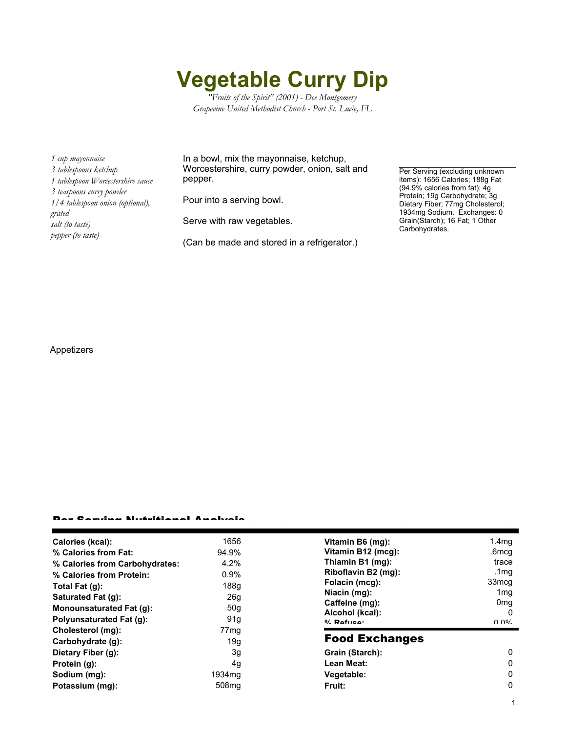## **Vegetable Curry Dip**

*"Fruits of the Spirit" (2001) - Dee Montgomery Grapevine United Methodist Church - Port St. Lucie, FL*

*1 cup mayonnaise 3 tablespoons ketchup 1 tablespoon Worcestershire sauce 3 teaspoons curry powder 1/4 tablespoon onion (optional), grated salt (to taste) pepper (to taste)*

In a bowl, mix the mayonnaise, ketchup, Worcestershire, curry powder, onion, salt and pepper.

Pour into a serving bowl.

Serve with raw vegetables.

(Can be made and stored in a refrigerator.)

Per Serving (excluding unknown items): 1656 Calories; 188g Fat (94.9% calories from fat); 4g Protein; 19g Carbohydrate; 3g Dietary Fiber; 77mg Cholesterol; 1934mg Sodium. Exchanges: 0 Grain(Starch); 16 Fat; 1 Other Carbohydrates.

## Appetizers

## Per Serving Nutritional Analysis

| Calories (kcal):                | 1656               | Vitamin B6 (mg):                  | 1.4 <sub>mg</sub>    |
|---------------------------------|--------------------|-----------------------------------|----------------------|
| % Calories from Fat:            | 94.9%              | Vitamin B12 (mcg):                | .6mcg                |
| % Calories from Carbohydrates:  | 4.2%               | Thiamin B1 (mg):                  | trace                |
| % Calories from Protein:        | 0.9%               | Riboflavin B2 (mg):               | .1mg                 |
| Total Fat $(q)$ :               | 188g               | Folacin (mcg):                    | 33mcg                |
| Saturated Fat (g):              | 26g                | Niacin (mg):                      | 1 <sub>mg</sub>      |
| <b>Monounsaturated Fat (g):</b> | 50 <sub>q</sub>    | Caffeine (mg):                    | 0 <sub>mg</sub><br>0 |
| Polyunsaturated Fat (g):        | 91 <sub>g</sub>    | Alcohol (kcal):<br>$0/2$ Pofileon | በ በ%                 |
| Cholesterol (mg):               | 77 <sub>mg</sub>   |                                   |                      |
| Carbohydrate (g):               | 19q                | <b>Food Exchanges</b>             |                      |
| Dietary Fiber (g):              | 3g                 | Grain (Starch):                   | 0                    |
| Protein (g):                    | 4g                 | Lean Meat:                        | 0                    |
| Sodium (mg):                    | 1934 <sub>mg</sub> | Vegetable:                        | 0                    |
| Potassium (mg):                 | 508 <sub>mg</sub>  | Fruit:                            | 0                    |